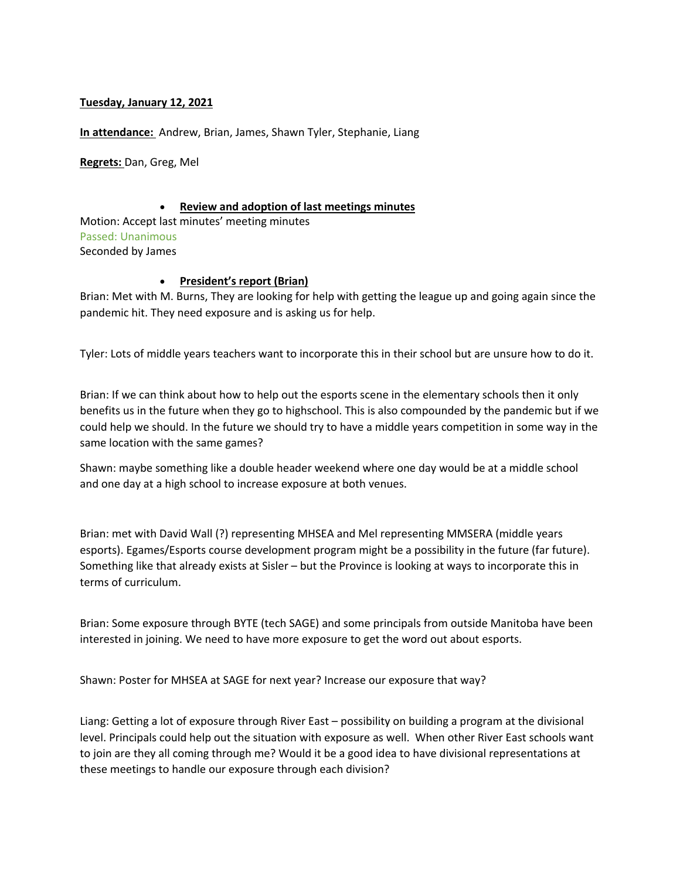### **Tuesday, January 12, 2021**

**In attendance:** Andrew, Brian, James, Shawn Tyler, Stephanie, Liang

**Regrets:** Dan, Greg, Mel

### • **Review and adoption of last meetings minutes**

Motion: Accept last minutes' meeting minutes Passed: Unanimous Seconded by James

### • **President's report (Brian)**

Brian: Met with M. Burns, They are looking for help with getting the league up and going again since the pandemic hit. They need exposure and is asking us for help.

Tyler: Lots of middle years teachers want to incorporate this in their school but are unsure how to do it.

Brian: If we can think about how to help out the esports scene in the elementary schools then it only benefits us in the future when they go to highschool. This is also compounded by the pandemic but if we could help we should. In the future we should try to have a middle years competition in some way in the same location with the same games?

Shawn: maybe something like a double header weekend where one day would be at a middle school and one day at a high school to increase exposure at both venues.

Brian: met with David Wall (?) representing MHSEA and Mel representing MMSERA (middle years esports). Egames/Esports course development program might be a possibility in the future (far future). Something like that already exists at Sisler – but the Province is looking at ways to incorporate this in terms of curriculum.

Brian: Some exposure through BYTE (tech SAGE) and some principals from outside Manitoba have been interested in joining. We need to have more exposure to get the word out about esports.

Shawn: Poster for MHSEA at SAGE for next year? Increase our exposure that way?

Liang: Getting a lot of exposure through River East – possibility on building a program at the divisional level. Principals could help out the situation with exposure as well. When other River East schools want to join are they all coming through me? Would it be a good idea to have divisional representations at these meetings to handle our exposure through each division?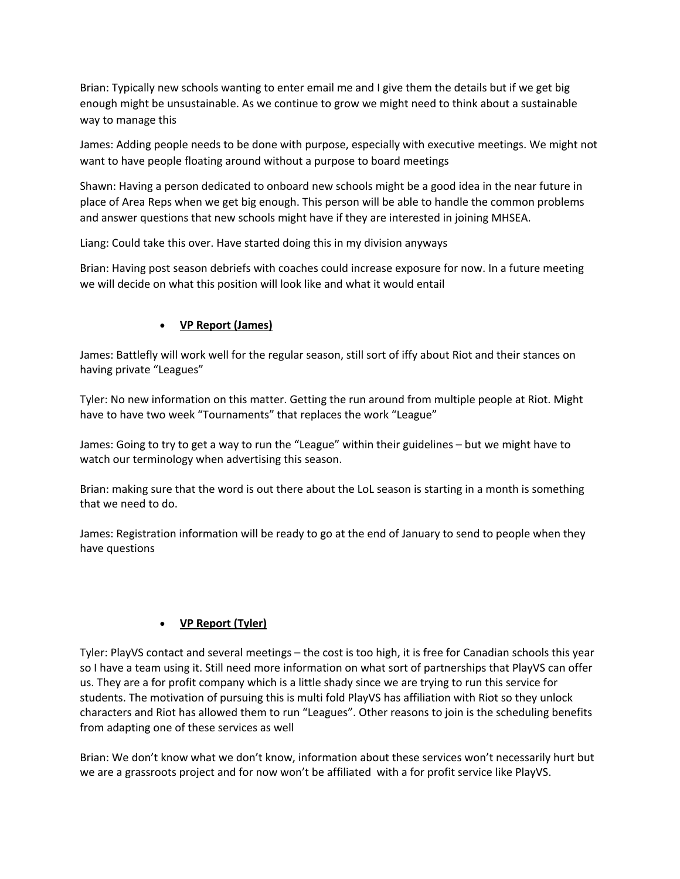Brian: Typically new schools wanting to enter email me and I give them the details but if we get big enough might be unsustainable. As we continue to grow we might need to think about a sustainable way to manage this

James: Adding people needs to be done with purpose, especially with executive meetings. We might not want to have people floating around without a purpose to board meetings

Shawn: Having a person dedicated to onboard new schools might be a good idea in the near future in place of Area Reps when we get big enough. This person will be able to handle the common problems and answer questions that new schools might have if they are interested in joining MHSEA.

Liang: Could take this over. Have started doing this in my division anyways

Brian: Having post season debriefs with coaches could increase exposure for now. In a future meeting we will decide on what this position will look like and what it would entail

# • **VP Report (James)**

James: Battlefly will work well for the regular season, still sort of iffy about Riot and their stances on having private "Leagues"

Tyler: No new information on this matter. Getting the run around from multiple people at Riot. Might have to have two week "Tournaments" that replaces the work "League"

James: Going to try to get a way to run the "League" within their guidelines – but we might have to watch our terminology when advertising this season.

Brian: making sure that the word is out there about the LoL season is starting in a month is something that we need to do.

James: Registration information will be ready to go at the end of January to send to people when they have questions

## • **VP Report (Tyler)**

Tyler: PlayVS contact and several meetings – the cost is too high, it is free for Canadian schools this year so I have a team using it. Still need more information on what sort of partnerships that PlayVS can offer us. They are a for profit company which is a little shady since we are trying to run this service for students. The motivation of pursuing this is multi fold PlayVS has affiliation with Riot so they unlock characters and Riot has allowed them to run "Leagues". Other reasons to join is the scheduling benefits from adapting one of these services as well

Brian: We don't know what we don't know, information about these services won't necessarily hurt but we are a grassroots project and for now won't be affiliated with a for profit service like PlayVS.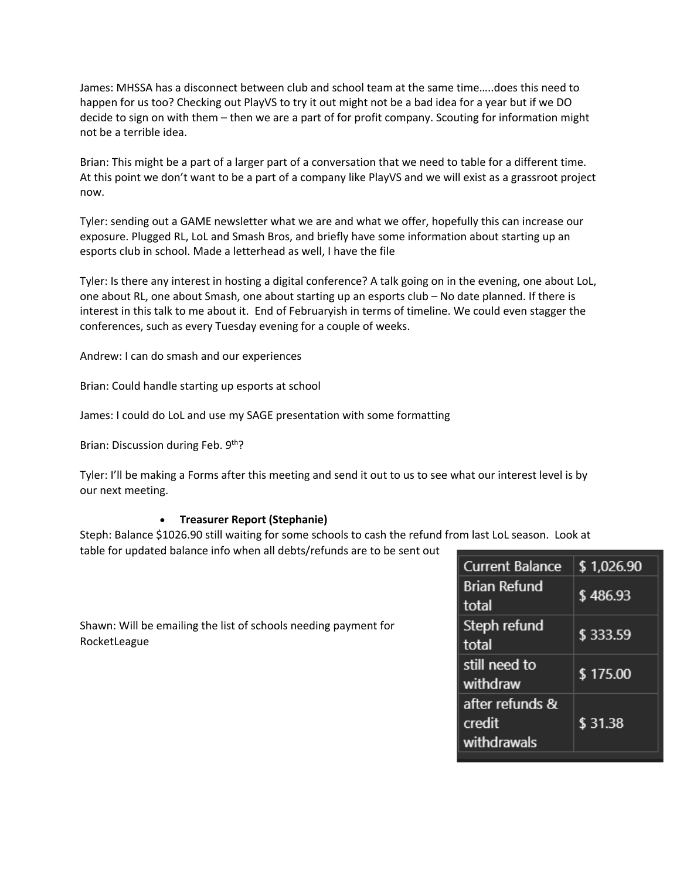James: MHSSA has a disconnect between club and school team at the same time…..does this need to happen for us too? Checking out PlayVS to try it out might not be a bad idea for a year but if we DO decide to sign on with them – then we are a part of for profit company. Scouting for information might not be a terrible idea.

Brian: This might be a part of a larger part of a conversation that we need to table for a different time. At this point we don't want to be a part of a company like PlayVS and we will exist as a grassroot project now.

Tyler: sending out a GAME newsletter what we are and what we offer, hopefully this can increase our exposure. Plugged RL, LoL and Smash Bros, and briefly have some information about starting up an esports club in school. Made a letterhead as well, I have the file

Tyler: Is there any interest in hosting a digital conference? A talk going on in the evening, one about LoL, one about RL, one about Smash, one about starting up an esports club – No date planned. If there is interest in this talk to me about it. End of Februaryish in terms of timeline. We could even stagger the conferences, such as every Tuesday evening for a couple of weeks.

Andrew: I can do smash and our experiences

Brian: Could handle starting up esports at school

James: I could do LoL and use my SAGE presentation with some formatting

Brian: Discussion during Feb. 9th?

Tyler: I'll be making a Forms after this meeting and send it out to us to see what our interest level is by our next meeting.

#### • **Treasurer Report (Stephanie)**

Steph: Balance \$1026.90 still waiting for some schools to cash the refund from last LoL season. Look at

table for updated balance info when all debts/refunds are to be sent out

| Shawn: Will be emailing the list of schools needing payment for |  |
|-----------------------------------------------------------------|--|
| RocketLeague                                                    |  |

| <b>Current Balance</b>                   | \$1,026.90 |
|------------------------------------------|------------|
| <b>Brian Refund</b><br>total             | \$486.93   |
| Steph refund<br>total                    | \$333.59   |
| still need to<br>withdraw                | \$175.00   |
| after refunds &<br>credit<br>withdrawals | \$31.38    |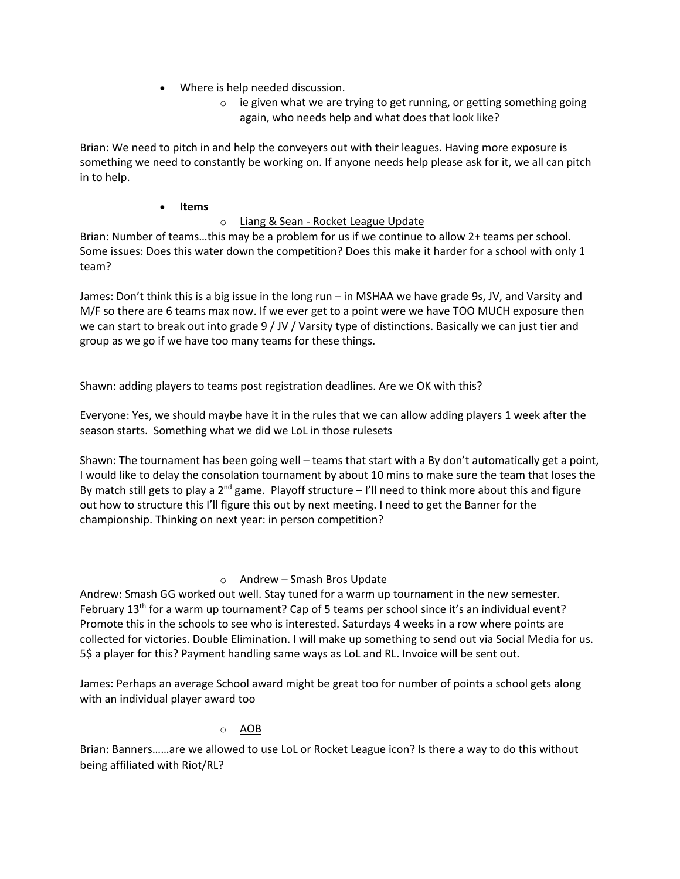- Where is help needed discussion.
	- $\circ$  ie given what we are trying to get running, or getting something going again, who needs help and what does that look like?

Brian: We need to pitch in and help the conveyers out with their leagues. Having more exposure is something we need to constantly be working on. If anyone needs help please ask for it, we all can pitch in to help.

## • **Items**

# o Liang & Sean - Rocket League Update

Brian: Number of teams…this may be a problem for us if we continue to allow 2+ teams per school. Some issues: Does this water down the competition? Does this make it harder for a school with only 1 team?

James: Don't think this is a big issue in the long run – in MSHAA we have grade 9s, JV, and Varsity and M/F so there are 6 teams max now. If we ever get to a point were we have TOO MUCH exposure then we can start to break out into grade 9 / JV / Varsity type of distinctions. Basically we can just tier and group as we go if we have too many teams for these things.

Shawn: adding players to teams post registration deadlines. Are we OK with this?

Everyone: Yes, we should maybe have it in the rules that we can allow adding players 1 week after the season starts. Something what we did we LoL in those rulesets

Shawn: The tournament has been going well – teams that start with a By don't automatically get a point, I would like to delay the consolation tournament by about 10 mins to make sure the team that loses the By match still gets to play a  $2^{nd}$  game. Playoff structure – I'll need to think more about this and figure out how to structure this I'll figure this out by next meeting. I need to get the Banner for the championship. Thinking on next year: in person competition?

# o Andrew – Smash Bros Update

Andrew: Smash GG worked out well. Stay tuned for a warm up tournament in the new semester. February 13<sup>th</sup> for a warm up tournament? Cap of 5 teams per school since it's an individual event? Promote this in the schools to see who is interested. Saturdays 4 weeks in a row where points are collected for victories. Double Elimination. I will make up something to send out via Social Media for us. 5\$ a player for this? Payment handling same ways as LoL and RL. Invoice will be sent out.

James: Perhaps an average School award might be great too for number of points a school gets along with an individual player award too

## o AOB

Brian: Banners……are we allowed to use LoL or Rocket League icon? Is there a way to do this without being affiliated with Riot/RL?